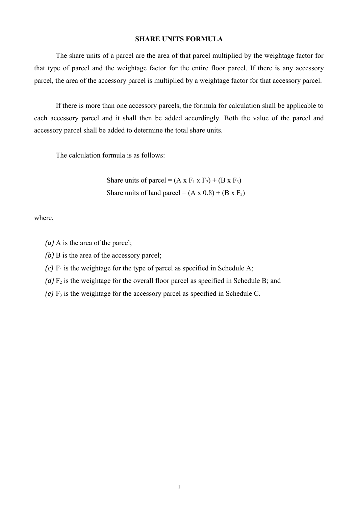## **SHARE UNITS FORMULA**

The share units of a parcel are the area of that parcel multiplied by the weightage factor for that type of parcel and the weightage factor for the entire floor parcel. If there is any accessory parcel, the area of the accessory parcel is multiplied by a weightage factor for that accessory parcel.

If there is more than one accessory parcels, the formula for calculation shall be applicable to each accessory parcel and it shall then be added accordingly. Both the value of the parcel and accessory parcel shall be added to determine the total share units.

The calculation formula is as follows:

Share units of parcel =  $(A \times F_1 \times F_2) + (B \times F_3)$ Share units of land parcel =  $(A \times 0.8) + (B \times F_3)$ 

where,

*(a)* A is the area of the parcel;

*(b)* B is the area of the accessory parcel;

 $(c)$  F<sub>1</sub> is the weightage for the type of parcel as specified in Schedule A;

 $(d)$   $F_2$  is the weightage for the overall floor parcel as specified in Schedule B; and

*(e)* F<sub>3</sub> is the weightage for the accessory parcel as specified in Schedule C.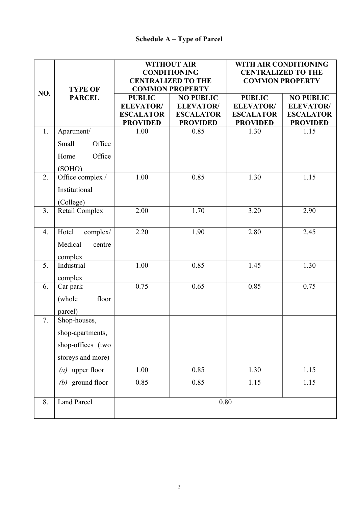|                |                                 | <b>WITHOUT AIR</b> |                           | WITH AIR CONDITIONING                               |                  |
|----------------|---------------------------------|--------------------|---------------------------|-----------------------------------------------------|------------------|
|                | <b>TYPE OF</b><br><b>PARCEL</b> |                    | <b>CONDITIONING</b>       | <b>CENTRALIZED TO THE</b><br><b>COMMON PROPERTY</b> |                  |
|                |                                 |                    | <b>CENTRALIZED TO THE</b> |                                                     |                  |
| NO.            |                                 |                    | <b>COMMON PROPERTY</b>    |                                                     |                  |
|                |                                 | <b>PUBLIC</b>      | <b>NO PUBLIC</b>          | <b>PUBLIC</b>                                       | <b>NO PUBLIC</b> |
|                |                                 | <b>ELEVATOR/</b>   | <b>ELEVATOR/</b>          | <b>ELEVATOR/</b>                                    | <b>ELEVATOR/</b> |
|                |                                 | <b>ESCALATOR</b>   | <b>ESCALATOR</b>          | <b>ESCALATOR</b>                                    | <b>ESCALATOR</b> |
|                |                                 | <b>PROVIDED</b>    | <b>PROVIDED</b>           | <b>PROVIDED</b>                                     | <b>PROVIDED</b>  |
| 1.             | Apartment/                      | 1.00               | 0.85                      | 1.30                                                | 1.15             |
|                | Small<br>Office                 |                    |                           |                                                     |                  |
|                | Office<br>Home                  |                    |                           |                                                     |                  |
|                | (SOHO)                          |                    |                           |                                                     |                  |
| 2.             | Office complex /                | 1.00               | 0.85                      | 1.30                                                | 1.15             |
|                | Institutional                   |                    |                           |                                                     |                  |
|                | (College)                       |                    |                           |                                                     |                  |
| 3 <sub>1</sub> | Retail Complex                  | 2.00               | 1.70                      | 3.20                                                | 2.90             |
|                |                                 |                    |                           |                                                     |                  |
| 4.             | Hotel<br>complex/               | 2.20               | 1.90                      | 2.80                                                | 2.45             |
|                | Medical<br>centre               |                    |                           |                                                     |                  |
|                | complex                         |                    |                           |                                                     |                  |
| 5.             | Industrial                      | 1.00               | 0.85                      | 1.45                                                | 1.30             |
|                | complex                         |                    |                           |                                                     |                  |
| 6.             | Car park                        | 0.75               | 0.65                      | 0.85                                                | 0.75             |
|                | (whole<br>floor                 |                    |                           |                                                     |                  |
|                | parcel)                         |                    |                           |                                                     |                  |
| 7.             | Shop-houses,                    |                    |                           |                                                     |                  |
|                | shop-apartments,                |                    |                           |                                                     |                  |
|                | shop-offices (two               |                    |                           |                                                     |                  |
|                | storeys and more)               |                    |                           |                                                     |                  |
|                | $(a)$ upper floor               | 1.00               | 0.85                      | 1.30                                                | 1.15             |
|                | $(b)$ ground floor              | 0.85               | 0.85                      | 1.15                                                | 1.15             |
|                |                                 |                    |                           |                                                     |                  |
| 8.             | Land Parcel                     | $0.80\,$           |                           |                                                     |                  |
|                |                                 |                    |                           |                                                     |                  |